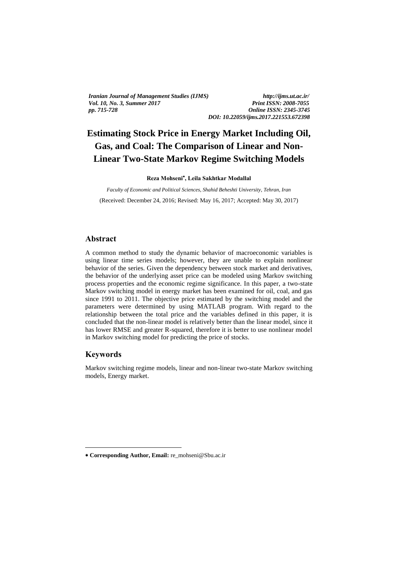*Iranian Journal of Management Studies (IJMS) http://ijms.ut.ac.ir/ Vol. 10, No. 3, Summer 2017 pp. 715-728 Online ISSN: 2345-3745*

*DOI: 10.22059/ijms.2017.221553.672398*

# **Estimating Stock Price in Energy Market Including Oil, Gas, and Coal: The Comparison of Linear and Non-Linear Two-State Markov Regime Switching Models**

**Reza Mohseni , Leila Sakhtkar Modallal**

*Faculty of Economic and Political Sciences, Shahid Beheshti University, Tehran, Iran*  (Received: December 24, 2016; Revised: May 16, 2017; Accepted: May 30, 2017)

## **Abstract**

A common method to study the dynamic behavior of macroeconomic variables is using linear time series models; however, they are unable to explain nonlinear behavior of the series. Given the dependency between stock market and derivatives, the behavior of the underlying asset price can be modeled using Markov switching process properties and the economic regime significance. In this paper, a two-state Markov switching model in energy market has been examined for oil, coal, and gas since 1991 to 2011. The objective price estimated by the switching model and the parameters were determined by using MATLAB program. With regard to the relationship between the total price and the variables defined in this paper, it is concluded that the non-linear model is relatively better than the linear model, since it has lower RMSE and greater R-squared, therefore it is better to use nonlinear model in Markov switching model for predicting the price of stocks.

### **Keywords**

<u>.</u>

Markov switching regime models, linear and non-linear two-state Markov switching models, Energy market.

**Corresponding Author, Email:** re\_mohseni@Sbu.ac.ir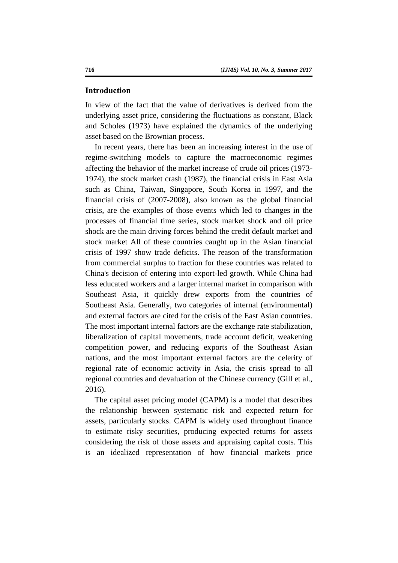#### **Introduction**

In view of the fact that the value of derivatives is derived from the underlying asset price, considering the fluctuations as constant, Black and Scholes (1973) have explained the dynamics of the underlying asset based on the Brownian process.

In recent years, there has been an increasing interest in the use of regime-switching models to capture the macroeconomic regimes affecting the behavior of the market increase of crude oil prices (1973- 1974), the stock market crash (1987), the financial crisis in East Asia such as China, Taiwan, Singapore, South Korea in 1997, and the financial crisis of (2007-2008), also known as the global financial crisis, are the examples of those events which led to changes in the processes of financial time series, stock market shock and oil price shock are the main driving forces behind the credit default market and stock market All of these countries caught up in the Asian financial crisis of 1997 show trade deficits. The reason of the transformation from commercial surplus to fraction for these countries was related to China's decision of entering into export-led growth. While China had less educated workers and a larger internal market in comparison with Southeast Asia, it quickly drew exports from the countries of Southeast Asia. Generally, two categories of internal (environmental) and external factors are cited for the crisis of the East Asian countries. The most important internal factors are the exchange rate stabilization, liberalization of capital movements, trade account deficit, weakening competition power, and reducing exports of the Southeast Asian nations, and the most important external factors are the celerity of regional rate of economic activity in Asia, the crisis spread to all regional countries and devaluation of the Chinese currency (Gill et al., 2016).

The capital asset pricing model (CAPM) is a model that describes the relationship between systematic risk and expected return for assets, particularly stocks. CAPM is widely used throughout finance to estimate risky securities, producing expected returns for assets considering the risk of those assets and appraising capital costs. This is an idealized representation of how financial markets price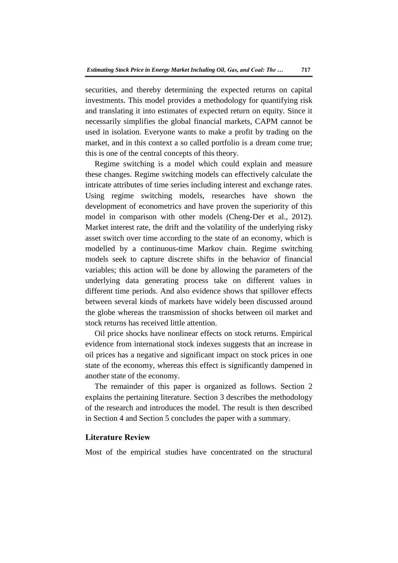securities, and thereby determining the expected returns on capital investments. This model provides a methodology for quantifying risk and translating it into estimates of expected return on equity. Since it necessarily simplifies the global financial markets, CAPM cannot be used in isolation. Everyone wants to make a profit by trading on the market, and in this context a so called portfolio is a dream come true; this is one of the central concepts of this theory.

Regime switching is a model which could explain and measure these changes. Regime switching models can effectively calculate the intricate attributes of time series including interest and exchange rates. Using regime switching models, researches have shown the development of econometrics and have proven the superiority of this model in comparison with other models (Cheng-Der et al., 2012). Market interest rate, the drift and the volatility of the underlying risky asset switch over time according to the state of an economy, which is modelled by a continuous-time Markov chain. Regime switching models seek to capture discrete shifts in the behavior of financial variables; this action will be done by allowing the parameters of the underlying data generating process take on different values in different time periods. And also evidence shows that spillover effects between several kinds of markets have widely been discussed around the globe whereas the transmission of shocks between oil market and stock returns has received little attention.

Oil price shocks have nonlinear effects on stock returns. Empirical evidence from international stock indexes suggests that an increase in oil prices has a negative and significant impact on stock prices in one state of the economy, whereas this effect is significantly dampened in another state of the economy.

The remainder of this paper is organized as follows. Section 2 explains the pertaining literature. Section 3 describes the methodology of the research and introduces the model. The result is then described in Section 4 and Section 5 concludes the paper with a summary.

## **Literature Review**

Most of the empirical studies have concentrated on the structural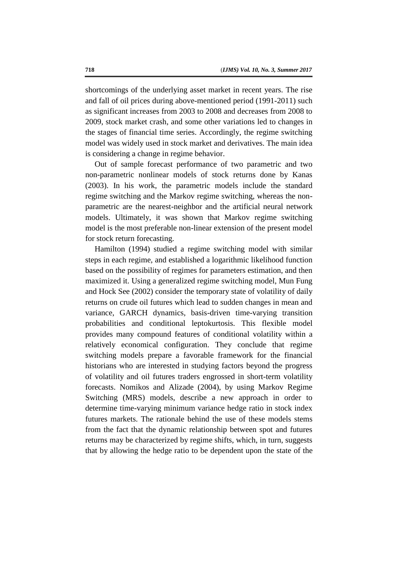shortcomings of the underlying asset market in recent years. The rise and fall of oil prices during above-mentioned period (1991-2011) such as significant increases from 2003 to 2008 and decreases from 2008 to 2009, stock market crash, and some other variations led to changes in the stages of financial time series. Accordingly, the regime switching model was widely used in stock market and derivatives. The main idea is considering a change in regime behavior.

Out of sample forecast performance of two parametric and two non-parametric nonlinear models of stock returns done by Kanas (2003). In his work, the parametric models include the standard regime switching and the Markov regime switching, whereas the nonparametric are the nearest-neighbor and the artificial neural network models. Ultimately, it was shown that Markov regime switching model is the most preferable non-linear extension of the present model for stock return forecasting.

Hamilton (1994) studied a regime switching model with similar steps in each regime, and established a logarithmic likelihood function based on the possibility of regimes for parameters estimation, and then maximized it. Using a generalized regime switching model, Mun Fung and Hock See (2002) consider the temporary state of volatility of daily returns on crude oil futures which lead to sudden changes in mean and variance, GARCH dynamics, basis-driven time-varying transition probabilities and conditional leptokurtosis. This flexible model provides many compound features of conditional volatility within a relatively economical configuration. They conclude that regime switching models prepare a favorable framework for the financial historians who are interested in studying factors beyond the progress of volatility and oil futures traders engrossed in short-term volatility forecasts. Nomikos and Alizade (2004), by using Markov Regime Switching (MRS) models, describe a new approach in order to determine time-varying minimum variance hedge ratio in stock index futures markets. The rationale behind the use of these models stems from the fact that the dynamic relationship between spot and futures returns may be characterized by regime shifts, which, in turn, suggests that by allowing the hedge ratio to be dependent upon the state of the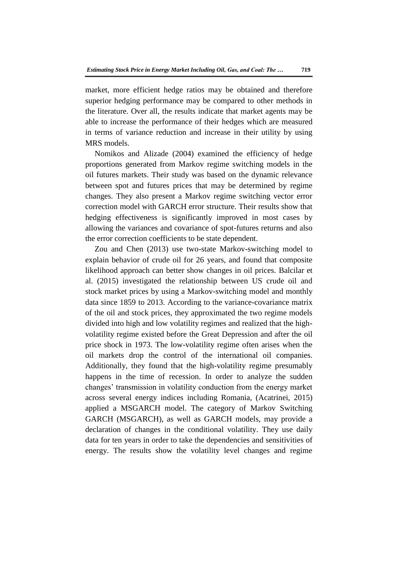market, more efficient hedge ratios may be obtained and therefore superior hedging performance may be compared to other methods in the literature. Over all, the results indicate that market agents may be able to increase the performance of their hedges which are measured in terms of variance reduction and increase in their utility by using MRS models.

Nomikos and Alizade (2004) examined the efficiency of hedge proportions generated from Markov regime switching models in the oil futures markets. Their study was based on the dynamic relevance between spot and futures prices that may be determined by regime changes. They also present a Markov regime switching vector error correction model with GARCH error structure. Their results show that hedging effectiveness is significantly improved in most cases by allowing the variances and covariance of spot-futures returns and also the error correction coefficients to be state dependent.

Zou and Chen (2013) use two-state Markov-switching model to explain behavior of crude oil for 26 years, and found that composite likelihood approach can better show changes in oil prices. Balcilar et al. (2015) investigated the relationship between US crude oil and stock market prices by using a Markov-switching model and monthly data since 1859 to 2013. According to the variance-covariance matrix of the oil and stock prices, they approximated the two regime models divided into high and low volatility regimes and realized that the highvolatility regime existed before the Great Depression and after the oil price shock in 1973. The low-volatility regime often arises when the oil markets drop the control of the international oil companies. Additionally, they found that the high-volatility regime presumably happens in the time of recession. In order to analyze the sudden changes' transmission in volatility conduction from the energy market across several energy indices including Romania, (Acatrinei, 2015) applied a MSGARCH model. The category of Markov Switching GARCH (MSGARCH), as well as GARCH models, may provide a declaration of changes in the conditional volatility. They use daily data for ten years in order to take the dependencies and sensitivities of energy. The results show the volatility level changes and regime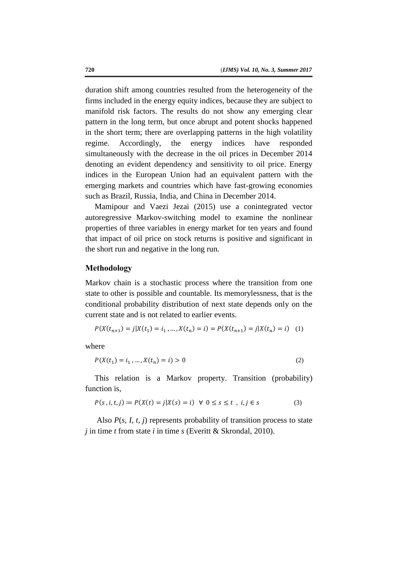duration shift among countries resulted from the heterogeneity of the firms included in the energy equity indices, because they are subject to manifold risk factors. The results do not show any emerging clear pattern in the long term, but once abrupt and potent shocks happened in the short term; there are overlapping patterns in the high volatility regime. Accordingly, the energy indices have responded simultaneously with the decrease in the oil prices in December 2014 denoting an evident dependency and sensitivity to oil price. Energy indices in the European Union had an equivalent pattern with the emerging markets and countries which have fast-growing economies such as Brazil, Russia, India, and China in December 2014.

Mamipour and Vaezi Jezai (2015) use a conintegrated vector autoregressive Markov-switching model to examine the nonlinear properties of three variables in energy market for ten years and found that impact of oil price on stock returns is positive and significant in the short run and negative in the long run.

#### **Methodology**

Markov chain is a stochastic process where the transition from one state to other is possible and countable. Its memorylessness, that is the conditional probability distribution of next state depends only on the current state and is not related to earlier events.

$$
P(X(t_{n+1}) = j | X(t_1) = i_1, ..., X(t_n) = i) = P(X(t_{n+1}) = j | X(t_n) = i) \quad (1)
$$

where

$$
P(X(t_1) = i_1, ..., X(t_n) = i) > 0
$$
\n(2)

This relation is a Markov property. Transition (probability) function is,

$$
P(s, i, t, j) \coloneqq P(X(t) = j | X(s) = i) \ \forall \ 0 \le s \le t \ , \ i, j \in s \tag{3}
$$

Also *P*(*s, I, t, j*) represents probability of transition process to state *j* in time *t* from state *i* in time *s* (Everitt & Skrondal, 2010).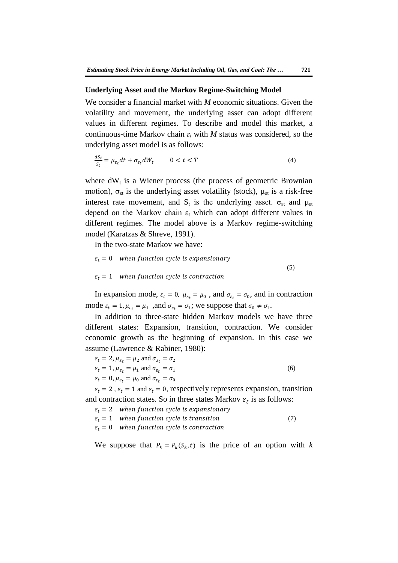## **Underlying Asset and the Markov Regime-Switching Model**

We consider a financial market with *M* economic situations. Given the volatility and movement, the underlying asset can adopt different values in different regimes. To describe and model this market, a continuous-time Markov chain *ε<sup>t</sup>* with *M* status was considered, so the underlying asset model is as follows:

$$
\frac{dS_t}{S_t} = \mu_{\varepsilon_t} dt + \sigma_{\varepsilon_t} dW_t \qquad 0 < t < T \tag{4}
$$

where  $dW_t$  is a Wiener process (the process of geometric Brownian motion),  $\sigma_{\text{et}}$  is the underlying asset volatility (stock),  $\mu_{\text{et}}$  is a risk-free interest rate movement, and  $S_t$  is the underlying asset.  $\sigma_{\text{et}}$  and  $\mu_{\text{et}}$ depend on the Markov chain  $\varepsilon_t$  which can adopt different values in different regimes. The model above is a Markov regime-switching model (Karatzas & Shreve, 1991).

In the two-state Markov we have:

 $\varepsilon_t = 0$  when function cycle is expansionary (5)  $\varepsilon_t = 1$  when function cycle is contraction

In expansion mode,  $\varepsilon_t = 0$ ,  $\mu_{\varepsilon_t} = \mu_0$ , and  $\sigma_{\varepsilon_t} = \sigma_0$ , and in contraction mode  $\varepsilon_t = 1$ ,  $\mu_{\varepsilon_t} = \mu_1$ , and  $\sigma_{\varepsilon_t} = \sigma_1$ ; we suppose that  $\sigma_0 \neq \sigma_1$ .

In addition to three-state hidden Markov models we have three different states: Expansion, transition, contraction. We consider economic growth as the beginning of expansion. In this case we assume (Lawrence & Rabiner, 1980):

$$
\varepsilon_t = 2, \mu_{\varepsilon_t} = \mu_2 \text{ and } \sigma_{\varepsilon_t} = \sigma_2
$$
  
\n
$$
\varepsilon_t = 1, \mu_{\varepsilon_t} = \mu_1 \text{ and } \sigma_{\varepsilon_t} = \sigma_1
$$
  
\n
$$
\varepsilon_t = 0, \mu_{\varepsilon_t} = \mu_0 \text{ and } \sigma_{\varepsilon_t} = \sigma_0
$$
\n(6)

 $\varepsilon_t = 2$ ,  $\varepsilon_t = 1$  and  $\varepsilon_t = 0$ , respectively represents expansion, transition and contraction states. So in three states Markov  $\varepsilon_t$  is as follows:

 $\varepsilon_t = 2$  when function cycle is expansionary

 $\varepsilon_t = 1$  when function cycle is transition (7)

 $\varepsilon_t = 0$  when function cycle is contraction

We suppose that  $P_k = P_k(S_k, t)$  is the price of an option with *k*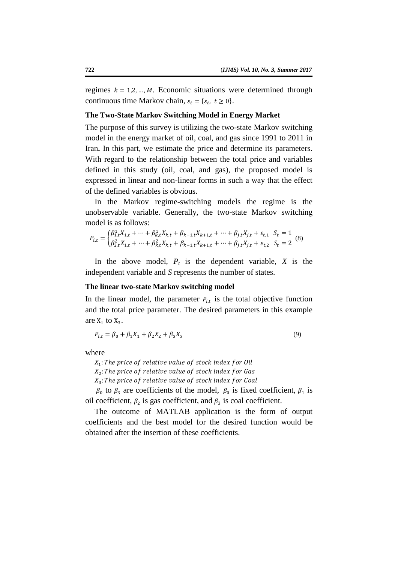regimes  $k = 1, 2, ..., M$ . Economic situations were determined through continuous time Markov chain,  $\varepsilon_t = {\varepsilon_t, t \ge 0}$ .

## **The Two-State Markov Switching Model in Energy Market**

The purpose of this survey is utilizing the two-state Markov switching model in the energy market of oil, coal, and gas since 1991 to 2011 in Iran**.** In this part, we estimate the price and determine its parameters. With regard to the relationship between the total price and variables defined in this study (oil, coal, and gas), the proposed model is expressed in linear and non-linear forms in such a way that the effect of the defined variables is obvious.

In the Markov regime-switching models the regime is the unobservable variable. Generally, the two-state Markov switching model is as follows:

$$
P_{i,t} = \begin{cases} \beta_{1,t}^1 X_{1,t} + \dots + \beta_{k,t}^1 X_{k,t} + \beta_{k+1,t} X_{k+1,t} + \dots + \beta_{j,t} X_{j,t} + \varepsilon_{t,1} & S_t = 1\\ \beta_{2,t}^2 X_{1,t} + \dots + \beta_{k,t}^2 X_{k,t} + \beta_{k+1,t} X_{k+1,t} + \dots + \beta_{j,t} X_{j,t} + \varepsilon_{t,2} & S_t = 2 \end{cases} (8)
$$

In the above model,  $P_t$  is the dependent variable,  $X$  is the independent variable and *S* represents the number of states.

#### **The linear two-state Markov switching model**

In the linear model, the parameter  $P_{i,t}$  is the total objective function and the total price parameter. The desired parameters in this example are  $X_1$  to  $X_3$ .

$$
P_{i,t} = \beta_0 + \beta_1 X_1 + \beta_2 X_2 + \beta_3 X_3 \tag{9}
$$

where

 $X_1$ :  $X_2$ :

 $X_3$ :

 $\beta_0$  to  $\beta_3$  are coefficients of the model,  $\beta_0$  is fixed coefficient,  $\beta_1$  is oil coefficient,  $\beta_2$  is gas coefficient, and  $\beta_3$  is coal coefficient.

The outcome of MATLAB application is the form of output coefficients and the best model for the desired function would be obtained after the insertion of these coefficients.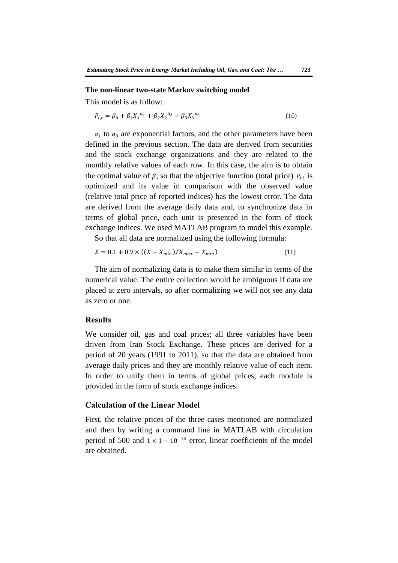#### **The non-linear two-state Markov switching model**

This model is as follow:

$$
P_{i,t} = \beta_0 + \beta_1 X_1^{a_1} + \beta_2 X_2^{a_2} + \beta_3 X_3^{a_3}
$$
 (10)

 $a_1$  to  $a_3$  are exponential factors, and the other parameters have been defined in the previous section. The data are derived from securities and the stock exchange organizations and they are related to the monthly relative values of each row. In this case, the aim is to obtain the optimal value of  $\beta$ , so that the objective function (total price)  $P_{i,t}$  is optimized and its value in comparison with the observed value (relative total price of reported indices) has the lowest error. The data are derived from the average daily data and, to synchronize data in terms of global price, each unit is presented in the form of stock exchange indices. We used MATLAB program to model this example.

So that all data are normalized using the following formula:

$$
X = 0.1 + 0.9 \times ((X - X_{min}) / X_{max} - X_{min})
$$
\n(11)

The aim of normalizing data is to make them similar in terms of the numerical value. The entire collection would be ambiguous if data are placed at zero intervals, so after normalizing we will not see any data as zero or one.

# **Results**

We consider oil, gas and coal prices; all three variables have been driven from Iran Stock Exchange. These prices are derived for a period of 20 years (1991 to 2011), so that the data are obtained from average daily prices and they are monthly relative value of each item. In order to unify them in terms of global prices, each module is provided in the form of stock exchange indices.

### **Calculation of the Linear Model**

First, the relative prices of the three cases mentioned are normalized and then by writing a command line in MATLAB with circulation period of 500 and  $1 \times 1 - 10^{-16}$  error, linear coefficients of the model are obtained.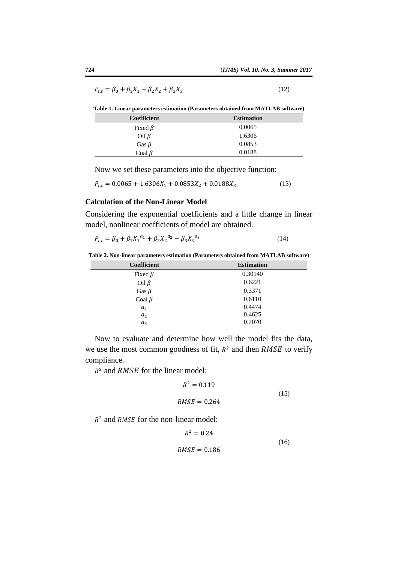$$
P_{i,t} = \beta_0 + \beta_1 X_1 + \beta_2 X_2 + \beta_3 X_3 \tag{12}
$$

**Table 1. Linear parameters estimation (Parameters obtained from MATLAB software)**

| <b>Coefficient</b> | <b>Estimation</b> |
|--------------------|-------------------|
| Fixed $\beta$      | 0.0065            |
| Oil $\beta$        | 1.6306            |
| Gas $\beta$        | 0.0853            |
| Coal $\beta$       | 0.0188            |

Now we set these parameters into the objective function:

$$
P_{i,t} = 0.0065 + 1.6306X_1 + 0.0853X_2 + 0.0188X_3 \tag{13}
$$

## **Calculation of the Non-Linear Model**

Considering the exponential coefficients and a little change in linear model, nonlinear coefficients of model are obtained.

$$
P_{i,t} = \beta_0 + \beta_1 X_1^{a_1} + \beta_2 X_2^{a_2} + \beta_3 X_3^{a_3} \tag{14}
$$

| Table 2. Non-linear parameters estimation (Parameters obtained from MATLAB software) |  |  |  |  |
|--------------------------------------------------------------------------------------|--|--|--|--|
|--------------------------------------------------------------------------------------|--|--|--|--|

| <b>Coefficient</b> | <b>Estimation</b> |
|--------------------|-------------------|
| Fixed $\beta$      | 0.30140           |
| Oil $\beta$        | 0.6221            |
| Gas $\beta$        | 0.3371            |
| Coal $\beta$       | 0.6110            |
| a <sub>1</sub>     | 0.4474            |
| $a_2$              | 0.4625            |
| $a_3$              | 0.7070            |

Now to evaluate and determine how well the model fits the data, we use the most common goodness of fit,  $R^2$  and then  $RMSE$  to verify compliance.

 $\overline{a}$ 

 $R^2$  and RMSE for the linear model:

$$
R^2 = 0.119
$$
  

$$
RMSE = 0.264
$$
 (15)

 $R<sup>2</sup>$  and RMSE for the non-linear model:

$$
R^2 = 0.24
$$
  

$$
RMSE = 0.186
$$
 (16)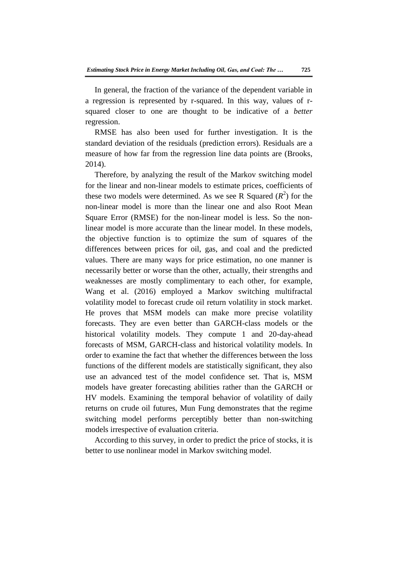In general, the fraction of the variance of the dependent variable in a regression is represented by r-squared. In this way, values of rsquared closer to one are thought to be indicative of a *better* regression.

RMSE has also been used for further investigation. It is the standard deviation of the residuals (prediction errors). Residuals are a measure of how far from the regression line data points are (Brooks, 2014).

Therefore, by analyzing the result of the Markov switching model for the linear and non-linear models to estimate prices, coefficients of these two models were determined. As we see R Squared  $(R^2)$  for the non-linear model is more than the linear one and also Root Mean Square Error (RMSE) for the non-linear model is less. So the nonlinear model is more accurate than the linear model. In these models, the objective function is to optimize the sum of squares of the differences between prices for oil, gas, and coal and the predicted values. There are many ways for price estimation, no one manner is necessarily better or worse than the other, actually, their strengths and weaknesses are mostly complimentary to each other, for example, Wang et al. (2016) employed a Markov switching multifractal volatility model to forecast crude oil return volatility in stock market. He proves that MSM models can make more precise volatility forecasts. They are even better than GARCH-class models or the historical volatility models. They compute 1 and 20-day-ahead forecasts of MSM, GARCH-class and historical volatility models. In order to examine the fact that whether the differences between the loss functions of the different models are statistically significant, they also use an advanced test of the model confidence set. That is, MSM models have greater forecasting abilities rather than the GARCH or HV models. Examining the temporal behavior of volatility of daily returns on crude oil futures, Mun Fung demonstrates that the regime switching model performs perceptibly better than non-switching models irrespective of evaluation criteria.

According to this survey, in order to predict the price of stocks, it is better to use nonlinear model in Markov switching model.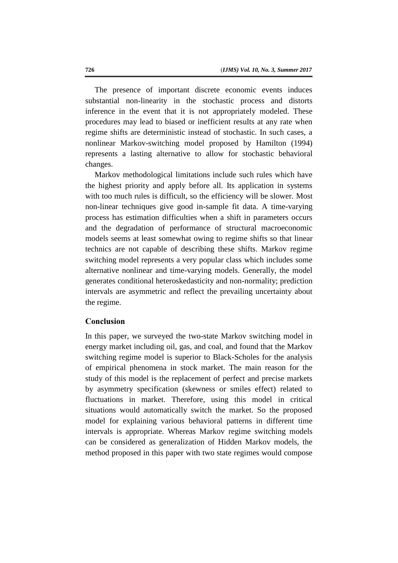The presence of important discrete economic events induces substantial non-linearity in the stochastic process and distorts inference in the event that it is not appropriately modeled. These procedures may lead to biased or inefficient results at any rate when regime shifts are deterministic instead of stochastic. In such cases, a nonlinear Markov-switching model proposed by Hamilton (1994) represents a lasting alternative to allow for stochastic behavioral changes.

Markov methodological limitations include such rules which have the highest priority and apply before all. Its application in systems with too much rules is difficult, so the efficiency will be slower. Most non-linear techniques give good in-sample fit data. A time-varying process has estimation difficulties when a shift in parameters occurs and the degradation of performance of structural macroeconomic models seems at least somewhat owing to regime shifts so that linear technics are not capable of describing these shifts. Markov regime switching model represents a very popular class which includes some alternative nonlinear and time-varying models. Generally, the model generates conditional heteroskedasticity and non-normality; prediction intervals are asymmetric and reflect the prevailing uncertainty about the regime.

## **Conclusion**

In this paper, we surveyed the two-state Markov switching model in energy market including oil, gas, and coal, and found that the Markov switching regime model is superior to Black-Scholes for the analysis of empirical phenomena in stock market. The main reason for the study of this model is the replacement of perfect and precise markets by asymmetry specification (skewness or smiles effect) related to fluctuations in market. Therefore, using this model in critical situations would automatically switch the market. So the proposed model for explaining various behavioral patterns in different time intervals is appropriate. Whereas Markov regime switching models can be considered as generalization of Hidden Markov models, the method proposed in this paper with two state regimes would compose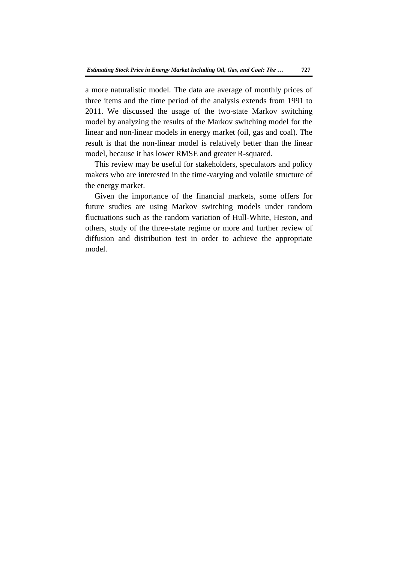a more naturalistic model. The data are average of monthly prices of three items and the time period of the analysis extends from 1991 to 2011. We discussed the usage of the two-state Markov switching model by analyzing the results of the Markov switching model for the linear and non-linear models in energy market (oil, gas and coal). The result is that the non-linear model is relatively better than the linear model, because it has lower RMSE and greater R-squared.

This review may be useful for stakeholders, speculators and policy makers who are interested in the time-varying and volatile structure of the energy market.

Given the importance of the financial markets, some offers for future studies are using Markov switching models under random fluctuations such as the random variation of Hull-White, Heston, and others, study of the three-state regime or more and further review of diffusion and distribution test in order to achieve the appropriate model.